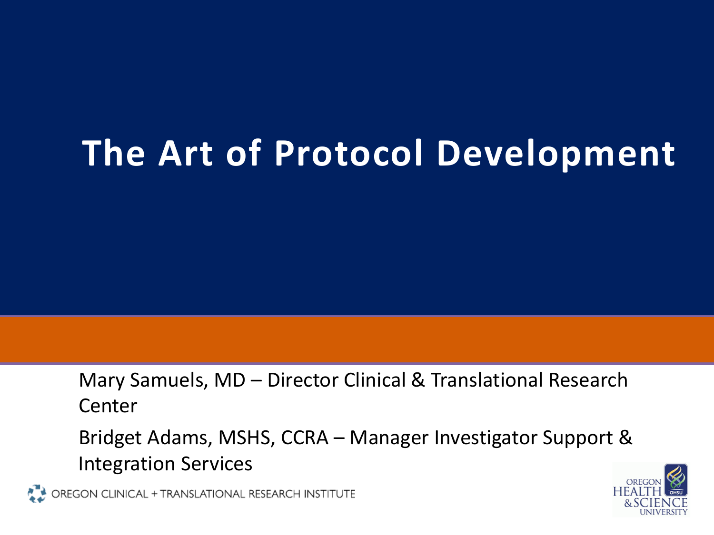# **The Art of Protocol Development**

Mary Samuels, MD – Director Clinical & Translational Research Center

Bridget Adams, MSHS, CCRA – Manager Investigator Support & Integration Services

OREGON CLINICAL + TRANSLATIONAL RESEARCH INSTITUTE

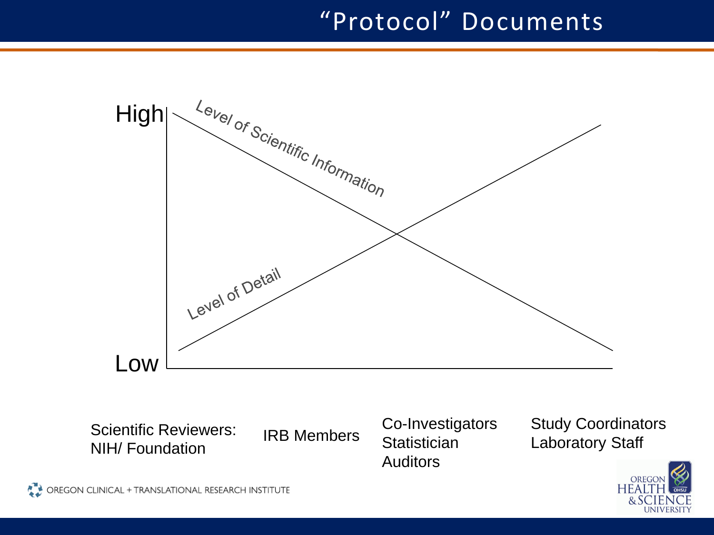# "Protocol" Documents



Scientific Reviewers: NIH/ Foundation

IRB Members Statistician Laboratory Staff Co-Investigators **Statistician** Auditors

Study Coordinators

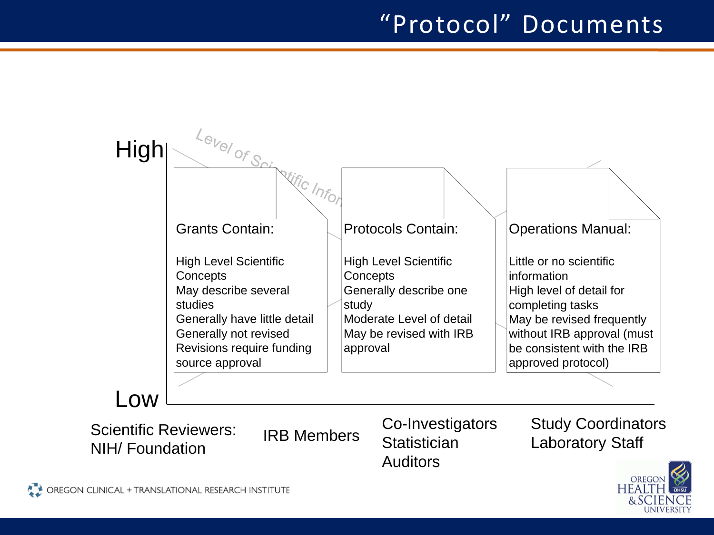# "Protocol" Documents



NIH/ Foundation

**Statistician** Auditors

![](_page_2_Picture_6.jpeg)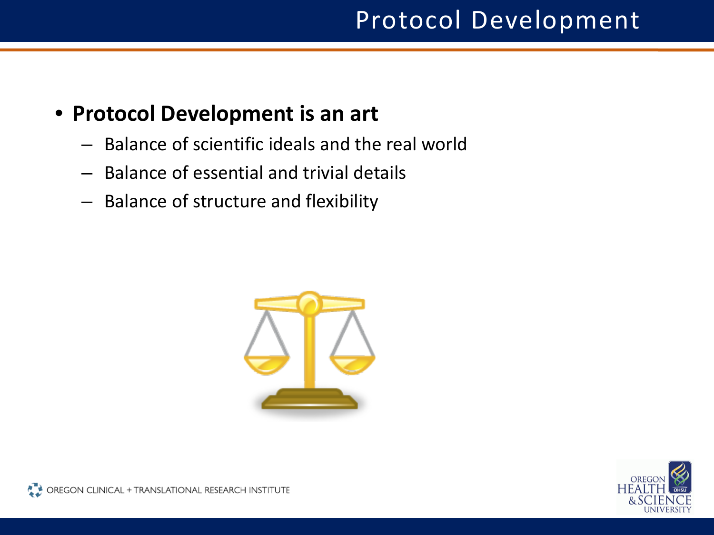- **Protocol Development is an art**
	- Balance of scientific ideals and the real world
	- Balance of essential and trivial details
	- Balance of structure and flexibility

![](_page_3_Picture_5.jpeg)

![](_page_3_Picture_6.jpeg)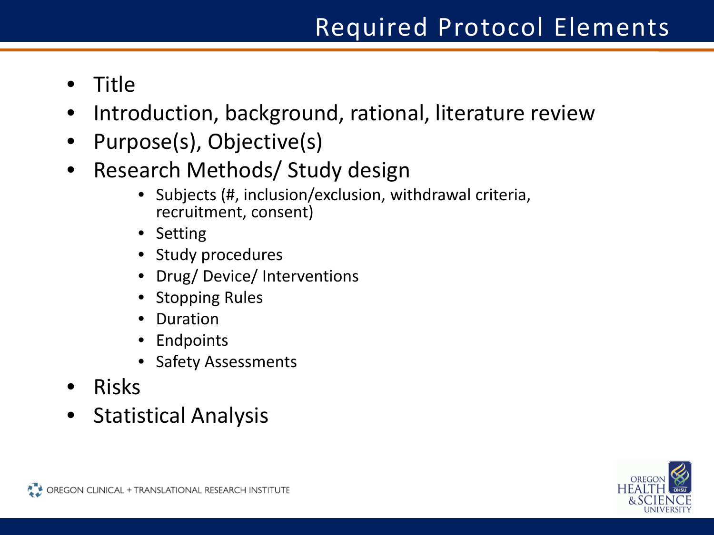- Title
- Introduction, background, rational, literature review
- Purpose(s), Objective(s)
- Research Methods/ Study design
	- Subjects (#, inclusion/exclusion, withdrawal criteria, recruitment, consent)
	- Setting
	- Study procedures
	- Drug/ Device/ Interventions
	- Stopping Rules
	- Duration
	- Endpoints
	- Safety Assessments
- Risks
- Statistical Analysis

![](_page_4_Picture_15.jpeg)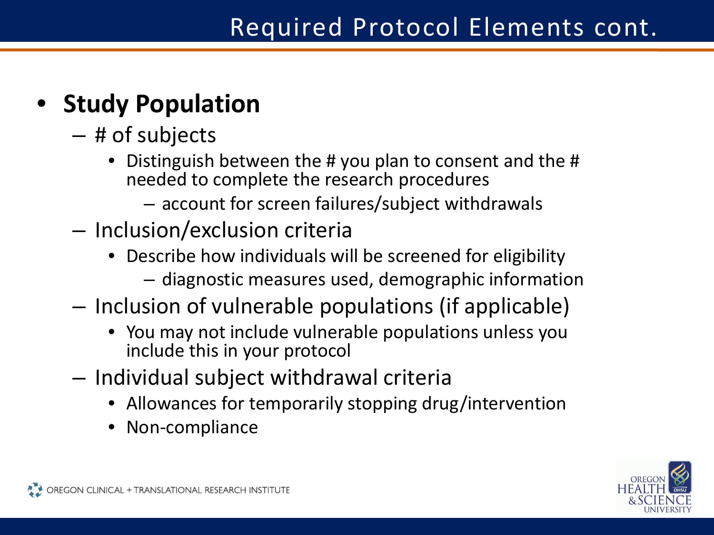# • **Study Population**

- # of subjects
	- Distinguish between the # you plan to consent and the # needed to complete the research procedures
		- account for screen failures/subject withdrawals
- Inclusion/exclusion criteria
	- Describe how individuals will be screened for eligibility – diagnostic measures used, demographic information
- Inclusion of vulnerable populations (if applicable)
	- You may not include vulnerable populations unless you include this in your protocol
- Individual subject withdrawal criteria
	- Allowances for temporarily stopping drug/intervention
	- Non-compliance

![](_page_5_Picture_12.jpeg)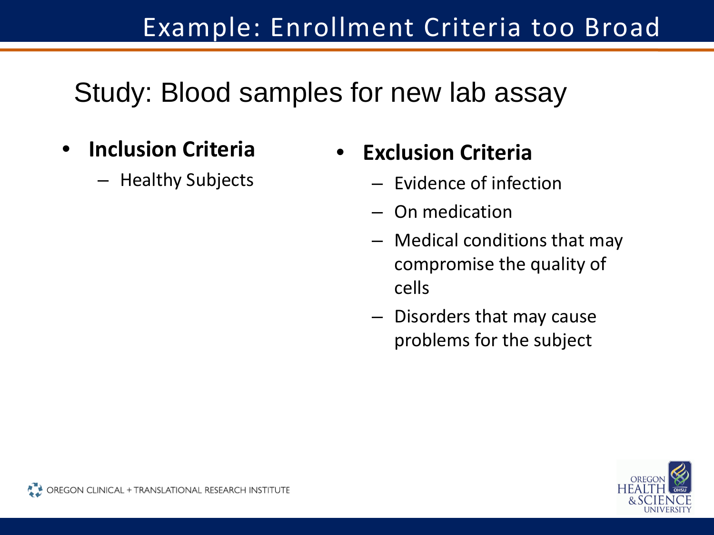# Example: Enrollment Criteria too Broad

Study: Blood samples for new lab assay

- **Inclusion Criteria**
	- Healthy Subjects

## • **Exclusion Criteria**

- Evidence of infection
- On medication
- Medical conditions that may compromise the quality of cells
- Disorders that may cause problems for the subject

![](_page_6_Picture_9.jpeg)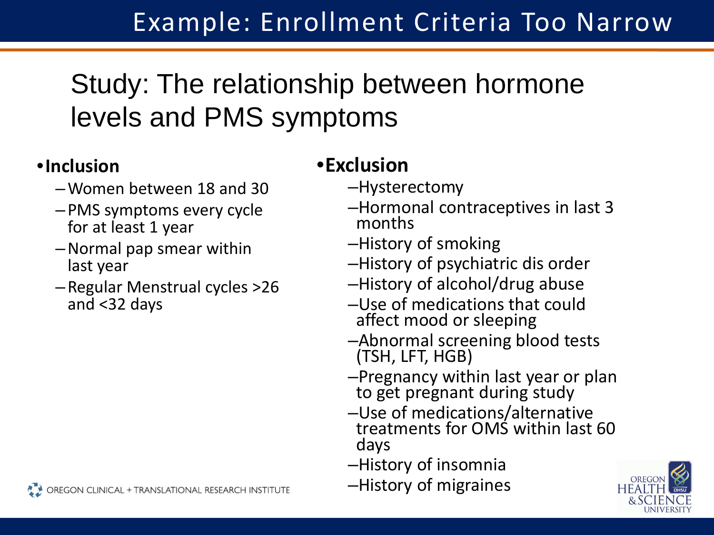# Study: The relationship between hormone levels and PMS symptoms

#### •**Inclusion**

- –Women between 18 and 30
- –PMS symptoms every cycle for at least 1 year
- –Normal pap smear within last year
- –Regular Menstrual cycles >26 and <32 days

#### •**Exclusion**

- –Hysterectomy
- –Hormonal contraceptives in last 3 months
- –History of smoking
- –History of psychiatric dis order
- –History of alcohol/drug abuse
- –Use of medications that could affect mood or sleeping
- –Abnormal screening blood tests (TSH, LFT, HGB)
- –Pregnancy within last year or plan to get pregnant during study
- –Use of medications/alternative treatments for OMS within last 60 days
- –History of insomnia
- –History of migraines

![](_page_7_Picture_19.jpeg)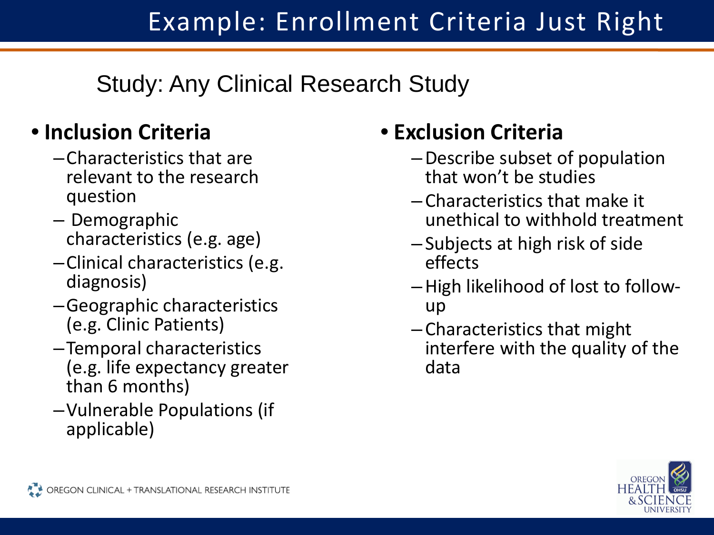Study: Any Clinical Research Study

### • **Inclusion Criteria**

- –Characteristics that are relevant to the research question
- Demographic characteristics (e.g. age)
- –Clinical characteristics (e.g. diagnosis)
- –Geographic characteristics (e.g. Clinic Patients)
- –Temporal characteristics (e.g. life expectancy greater than 6 months)
- –Vulnerable Populations (if applicable)

# • **Exclusion Criteria**

- –Describe subset of population that won't be studies
- –Characteristics that make it unethical to withhold treatment
- –Subjects at high risk of side effects
- –High likelihood of lost to follow- up
- –Characteristics that might interfere with the quality of the data

![](_page_8_Picture_15.jpeg)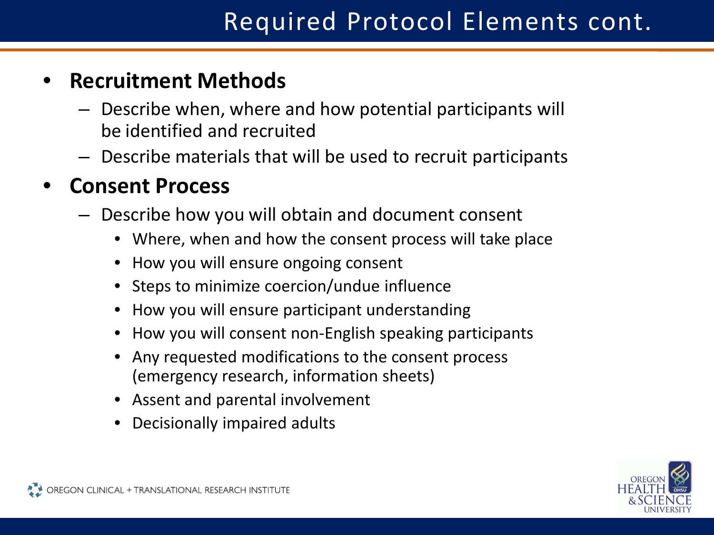#### • **Recruitment Methods**

- Describe when, where and how potential participants will be identified and recruited
- Describe materials that will be used to recruit participants

#### • **Consent Process**

- Describe how you will obtain and document consent
	- Where, when and how the consent process will take place
	- How you will ensure ongoing consent
	- Steps to minimize coercion/undue influence
	- How you will ensure participant understanding
	- How you will consent non-English speaking participants
	- Any requested modifications to the consent process (emergency research, information sheets)
	- Assent and parental involvement
	- Decisionally impaired adults

![](_page_9_Picture_14.jpeg)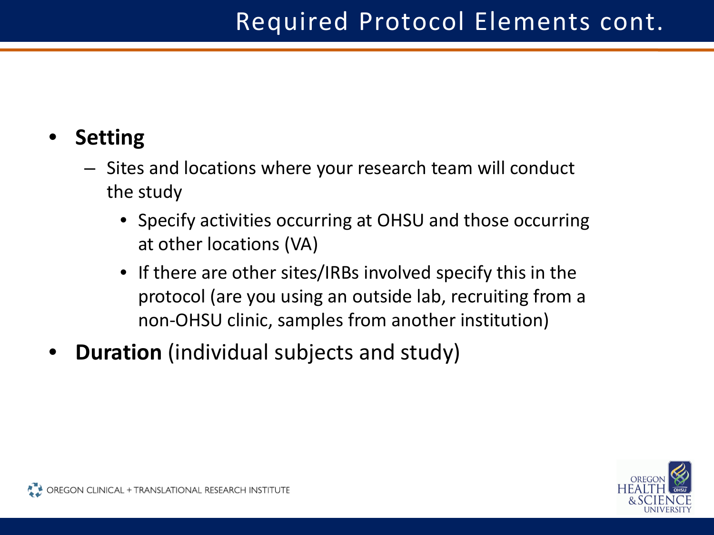#### • **Setting**

- Sites and locations where your research team will conduct the study
	- Specify activities occurring at OHSU and those occurring at other locations (VA)
	- If there are other sites/IRBs involved specify this in the protocol (are you using an outside lab, recruiting from a non-OHSU clinic, samples from another institution)
- **Duration** (individual subjects and study)

![](_page_10_Picture_6.jpeg)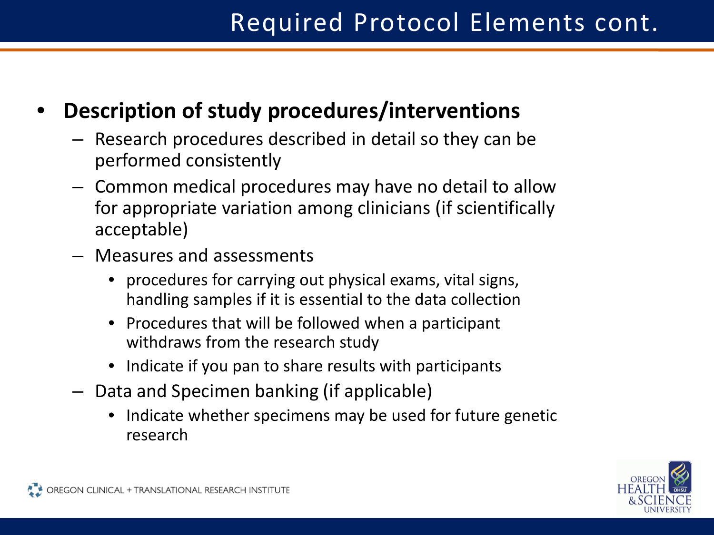#### • **Description of study procedures/interventions**

- Research procedures described in detail so they can be performed consistently
- Common medical procedures may have no detail to allow for appropriate variation among clinicians (if scientifically acceptable)
- Measures and assessments
	- procedures for carrying out physical exams, vital signs, handling samples if it is essential to the data collection
	- Procedures that will be followed when a participant withdraws from the research study
	- Indicate if you pan to share results with participants
- Data and Specimen banking (if applicable)
	- Indicate whether specimens may be used for future genetic research

![](_page_11_Picture_10.jpeg)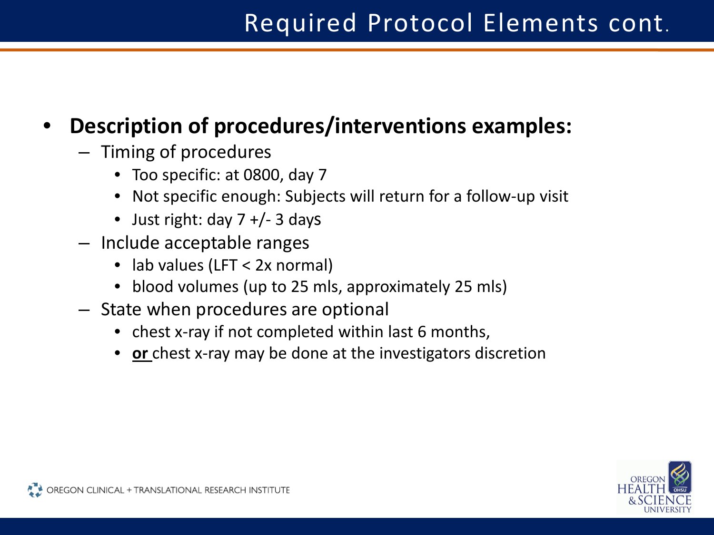#### • **Description of procedures/interventions examples:**

- Timing of procedures
	- Too specific: at 0800, day 7
	- Not specific enough: Subjects will return for a follow-up visit
	- Just right: day  $7 +/- 3$  days
- Include acceptable ranges
	- lab values (LFT < 2x normal)
	- blood volumes (up to 25 mls, approximately 25 mls)
- State when procedures are optional
	- chest x-ray if not completed within last 6 months,
	- **or** chest x-ray may be done at the investigators discretion

![](_page_12_Picture_12.jpeg)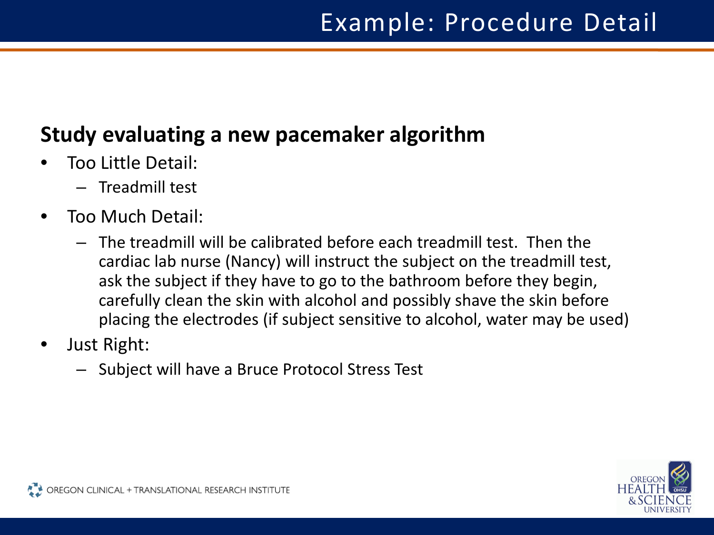#### **Study evaluating a new pacemaker algorithm**

- Too Little Detail:
	- Treadmill test
- Too Much Detail:
	- The treadmill will be calibrated before each treadmill test. Then the cardiac lab nurse (Nancy) will instruct the subject on the treadmill test, ask the subject if they have to go to the bathroom before they begin, carefully clean the skin with alcohol and possibly shave the skin before placing the electrodes (if subject sensitive to alcohol, water may be used)
- Just Right:
	- Subject will have a Bruce Protocol Stress Test

![](_page_13_Picture_8.jpeg)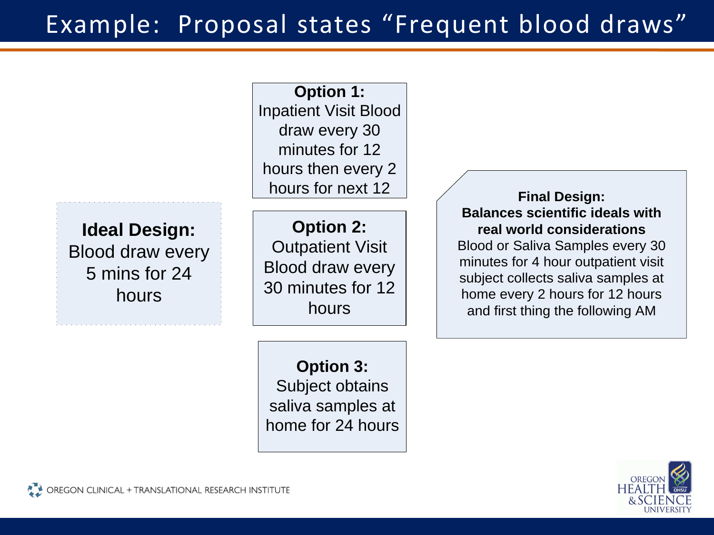# Example: Proposal states "Frequent blood draws"

**Ideal Design:** Blood draw every 5 mins for 24 hours **Option 2:** Outpatient Visit Blood draw every 30 minutes for 12 hours **Final Design: Balances scientific ideals with real world considerations** Blood or Saliva Samples every 30 minutes for 4 hour outpatient visit subject collects saliva samples at home every 2 hours for 12 hours and first thing the following AM **Option 1:** Inpatient Visit Blood draw every 30 minutes for 12 hours then every 2 hours for next 12

> **Option 3:** Subject obtains saliva samples at home for 24 hours

![](_page_14_Picture_3.jpeg)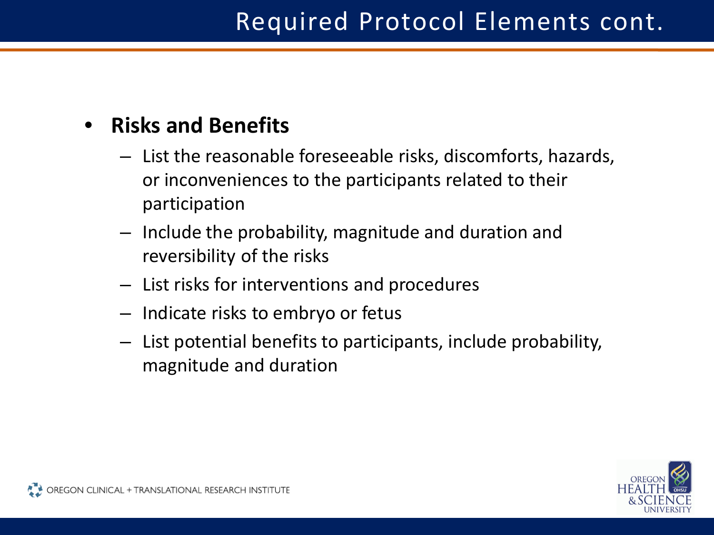#### • **Risks and Benefits**

- List the reasonable foreseeable risks, discomforts, hazards, or inconveniences to the participants related to their participation
- Include the probability, magnitude and duration and reversibility of the risks
- List risks for interventions and procedures
- Indicate risks to embryo or fetus
- List potential benefits to participants, include probability, magnitude and duration

![](_page_15_Picture_7.jpeg)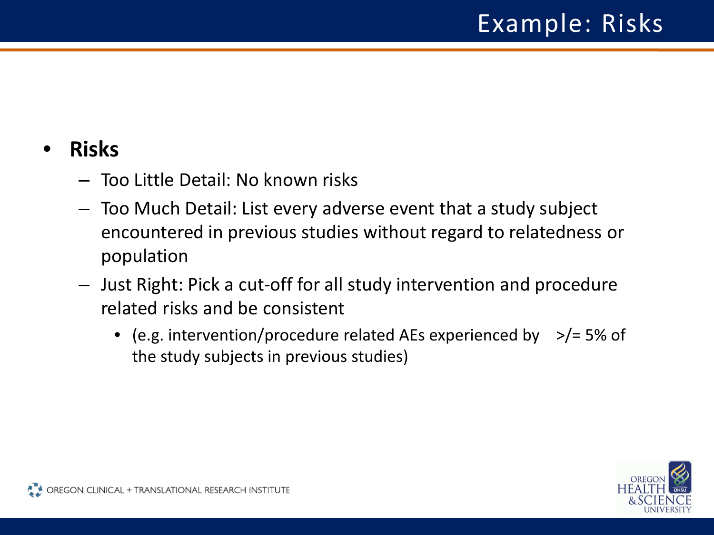#### • **Risks**

- Too Little Detail: No known risks
- Too Much Detail: List every adverse event that a study subject encountered in previous studies without regard to relatedness or population
- Just Right: Pick a cut-off for all study intervention and procedure related risks and be consistent
	- (e.g. intervention/procedure related AEs experienced by >/= 5% of the study subjects in previous studies)

![](_page_16_Picture_6.jpeg)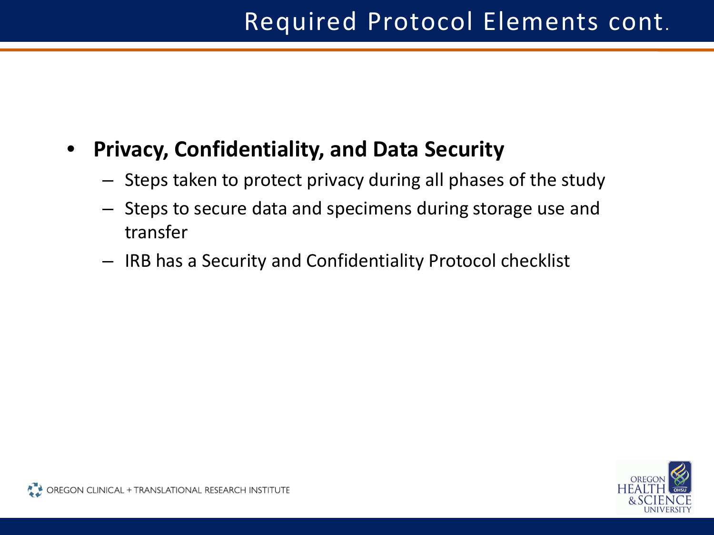#### • **Privacy, Confidentiality, and Data Security**

- Steps taken to protect privacy during all phases of the study
- Steps to secure data and specimens during storage use and transfer
- IRB has a Security and Confidentiality Protocol checklist

![](_page_17_Picture_5.jpeg)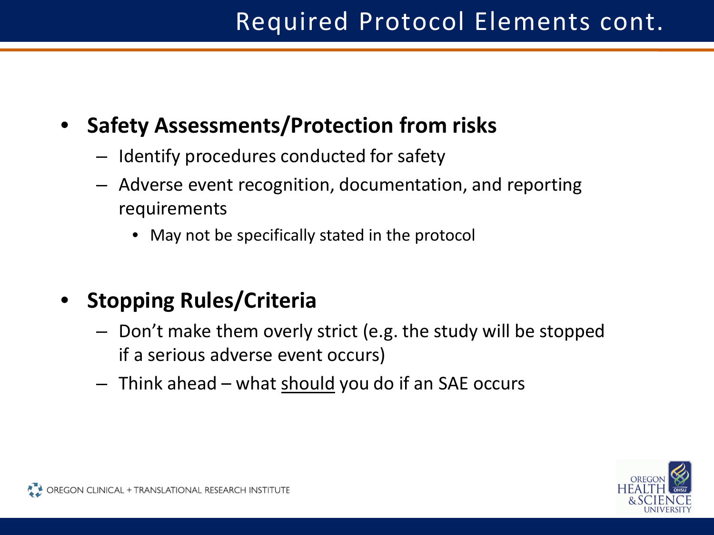#### • **Safety Assessments/Protection from risks**

- Identify procedures conducted for safety
- Adverse event recognition, documentation, and reporting requirements
	- May not be specifically stated in the protocol
- **Stopping Rules/Criteria**
	- Don't make them overly strict (e.g. the study will be stopped if a serious adverse event occurs)
	- Think ahead what should you do if an SAE occurs

![](_page_18_Picture_8.jpeg)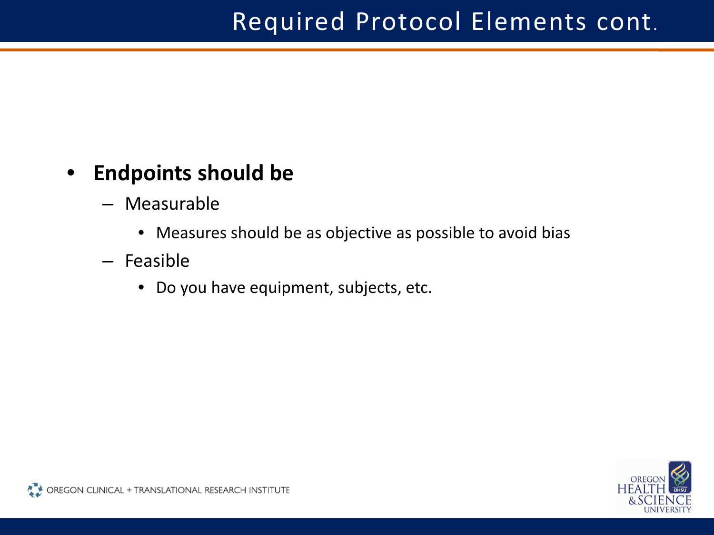#### • **Endpoints should be**

- Measurable
	- Measures should be as objective as possible to avoid bias
- Feasible
	- Do you have equipment, subjects, etc.

![](_page_19_Picture_6.jpeg)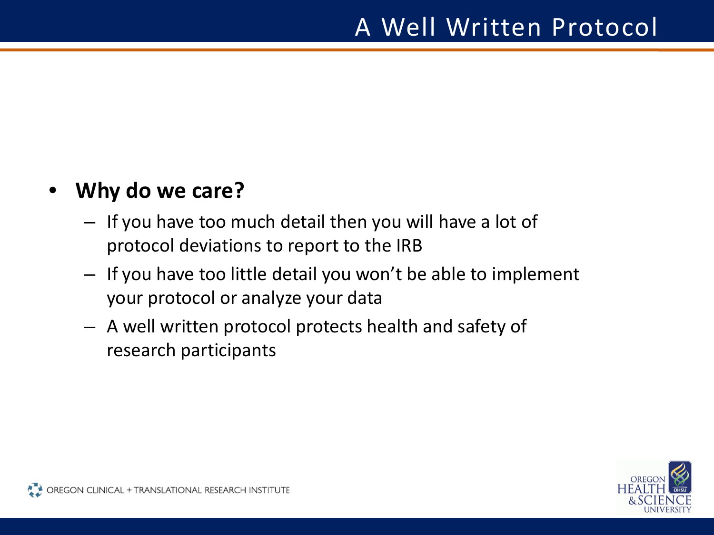#### • **Why do we care?**

- If you have too much detail then you will have a lot of protocol deviations to report to the IRB
- If you have too little detail you won't be able to implement your protocol or analyze your data
- A well written protocol protects health and safety of research participants

![](_page_20_Picture_5.jpeg)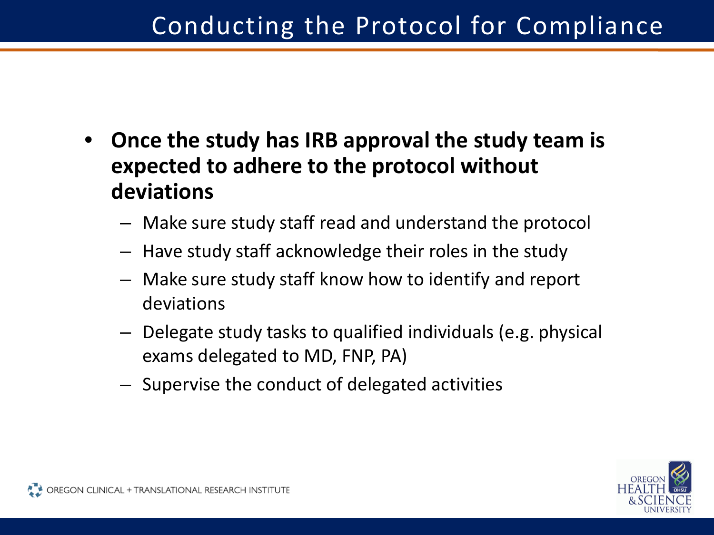- **Once the study has IRB approval the study team is expected to adhere to the protocol without deviations**
	- Make sure study staff read and understand the protocol
	- Have study staff acknowledge their roles in the study
	- Make sure study staff know how to identify and report deviations
	- Delegate study tasks to qualified individuals (e.g. physical exams delegated to MD, FNP, PA)
	- Supervise the conduct of delegated activities

![](_page_21_Picture_7.jpeg)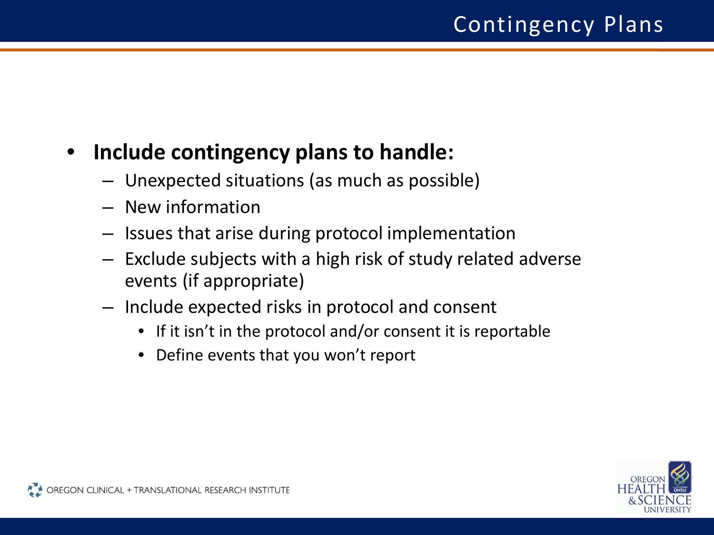#### • **Include contingency plans to handle:**

- Unexpected situations (as much as possible)
- New information
- Issues that arise during protocol implementation
- Exclude subjects with a high risk of study related adverse events (if appropriate)
- Include expected risks in protocol and consent
	- If it isn't in the protocol and/or consent it is reportable
	- Define events that you won't report

![](_page_22_Picture_9.jpeg)